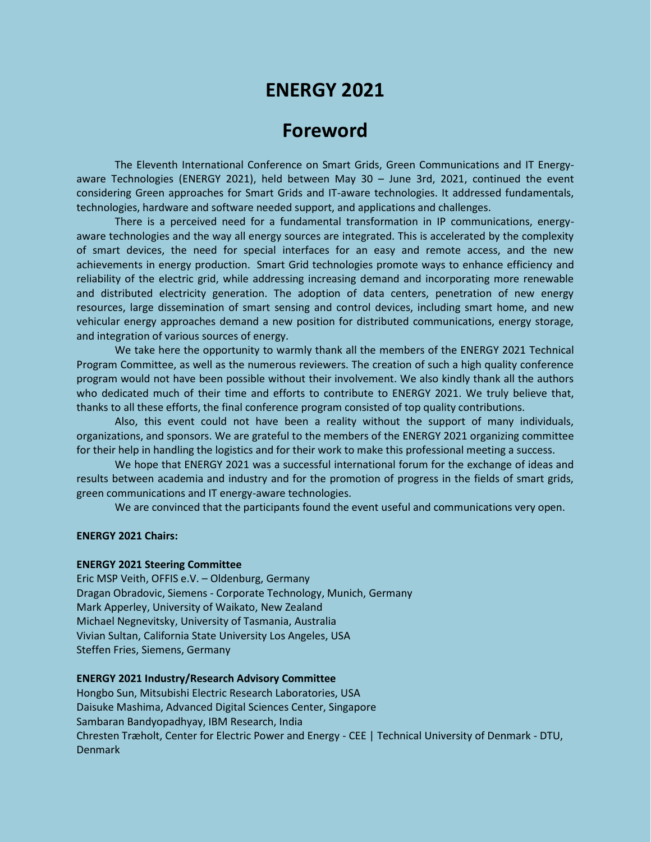# **ENERGY 2021**

## **Foreword**

The Eleventh International Conference on Smart Grids, Green Communications and IT Energyaware Technologies (ENERGY 2021), held between May 30 – June 3rd, 2021, continued the event considering Green approaches for Smart Grids and IT-aware technologies. It addressed fundamentals, technologies, hardware and software needed support, and applications and challenges.

There is a perceived need for a fundamental transformation in IP communications, energyaware technologies and the way all energy sources are integrated. This is accelerated by the complexity of smart devices, the need for special interfaces for an easy and remote access, and the new achievements in energy production. Smart Grid technologies promote ways to enhance efficiency and reliability of the electric grid, while addressing increasing demand and incorporating more renewable and distributed electricity generation. The adoption of data centers, penetration of new energy resources, large dissemination of smart sensing and control devices, including smart home, and new vehicular energy approaches demand a new position for distributed communications, energy storage, and integration of various sources of energy.

We take here the opportunity to warmly thank all the members of the ENERGY 2021 Technical Program Committee, as well as the numerous reviewers. The creation of such a high quality conference program would not have been possible without their involvement. We also kindly thank all the authors who dedicated much of their time and efforts to contribute to ENERGY 2021. We truly believe that, thanks to all these efforts, the final conference program consisted of top quality contributions.

Also, this event could not have been a reality without the support of many individuals, organizations, and sponsors. We are grateful to the members of the ENERGY 2021 organizing committee for their help in handling the logistics and for their work to make this professional meeting a success.

We hope that ENERGY 2021 was a successful international forum for the exchange of ideas and results between academia and industry and for the promotion of progress in the fields of smart grids, green communications and IT energy-aware technologies.

We are convinced that the participants found the event useful and communications very open.

#### **ENERGY 2021 Chairs:**

#### **ENERGY 2021 Steering Committee**

Eric MSP Veith, OFFIS e.V. – Oldenburg, Germany Dragan Obradovic, Siemens - Corporate Technology, Munich, Germany Mark Apperley, University of Waikato, New Zealand Michael Negnevitsky, University of Tasmania, Australia Vivian Sultan, California State University Los Angeles, USA Steffen Fries, Siemens, Germany

#### **ENERGY 2021 Industry/Research Advisory Committee**

Hongbo Sun, Mitsubishi Electric Research Laboratories, USA Daisuke Mashima, Advanced Digital Sciences Center, Singapore Sambaran Bandyopadhyay, IBM Research, India Chresten Træholt, Center for Electric Power and Energy - CEE | Technical University of Denmark - DTU, Denmark